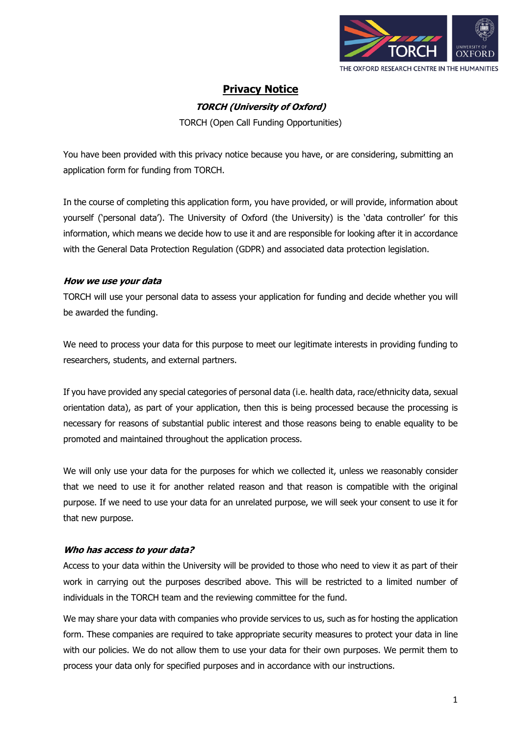

# **Privacy Notice**

## **TORCH (University of Oxford)**

TORCH (Open Call Funding Opportunities)

You have been provided with this privacy notice because you have, or are considering, submitting an application form for funding from TORCH.

In the course of completing this application form, you have provided, or will provide, information about yourself ('personal data'). The University of Oxford (the University) is the 'data controller' for this information, which means we decide how to use it and are responsible for looking after it in accordance with the General Data Protection Regulation (GDPR) and associated data protection legislation.

# **How we use your data**

TORCH will use your personal data to assess your application for funding and decide whether you will be awarded the funding.

We need to process your data for this purpose to meet our legitimate interests in providing funding to researchers, students, and external partners.

If you have provided any special categories of personal data (i.e. health data, race/ethnicity data, sexual orientation data), as part of your application, then this is being processed because the processing is necessary for reasons of substantial public interest and those reasons being to enable equality to be promoted and maintained throughout the application process.

We will only use your data for the purposes for which we collected it, unless we reasonably consider that we need to use it for another related reason and that reason is compatible with the original purpose. If we need to use your data for an unrelated purpose, we will seek your consent to use it for that new purpose.

# **Who has access to your data?**

Access to your data within the University will be provided to those who need to view it as part of their work in carrying out the purposes described above. This will be restricted to a limited number of individuals in the TORCH team and the reviewing committee for the fund.

We may share your data with companies who provide services to us, such as for hosting the application form. These companies are required to take appropriate security measures to protect your data in line with our policies. We do not allow them to use your data for their own purposes. We permit them to process your data only for specified purposes and in accordance with our instructions.